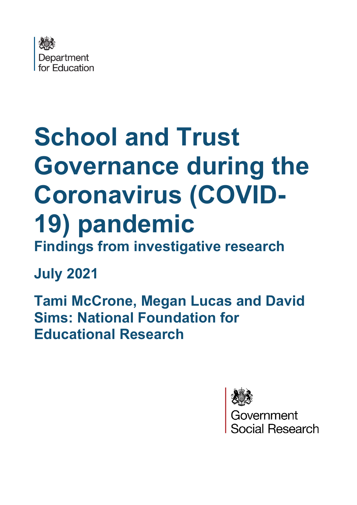

# **School and Trust Governance during the Coronavirus (COVID-19) pandemic Findings from investigative research**

## **July 2021**

**Tami McCrone, Megan Lucas and David Sims: National Foundation for Educational Research**



Government ial Research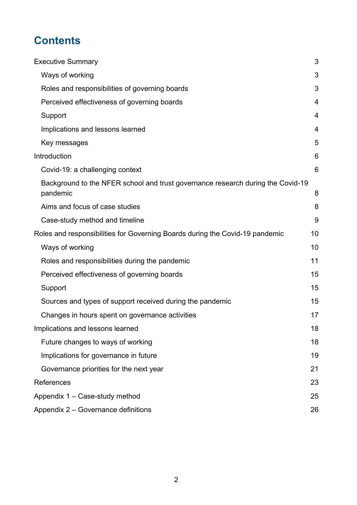## **Contents**

| <b>Executive Summary</b>                                                                    | 3              |  |  |  |
|---------------------------------------------------------------------------------------------|----------------|--|--|--|
| Ways of working                                                                             | 3              |  |  |  |
| Roles and responsibilities of governing boards                                              | 3              |  |  |  |
| Perceived effectiveness of governing boards                                                 | $\overline{4}$ |  |  |  |
| Support                                                                                     | $\overline{4}$ |  |  |  |
| Implications and lessons learned                                                            | 4              |  |  |  |
| Key messages                                                                                | 5              |  |  |  |
| Introduction                                                                                | 6              |  |  |  |
| Covid-19: a challenging context                                                             | 6              |  |  |  |
| Background to the NFER school and trust governance research during the Covid-19<br>pandemic | 8              |  |  |  |
| Aims and focus of case studies                                                              | 8              |  |  |  |
| Case-study method and timeline                                                              | 9              |  |  |  |
| Roles and responsibilities for Governing Boards during the Covid-19 pandemic                |                |  |  |  |
| Ways of working                                                                             | 10             |  |  |  |
| Roles and responsibilities during the pandemic                                              | 11             |  |  |  |
| Perceived effectiveness of governing boards                                                 | 15             |  |  |  |
| Support                                                                                     | 15             |  |  |  |
| Sources and types of support received during the pandemic                                   | 15             |  |  |  |
| Changes in hours spent on governance activities                                             | 17             |  |  |  |
| Implications and lessons learned                                                            | 18             |  |  |  |
| Future changes to ways of working                                                           | 18             |  |  |  |
| Implications for governance in future                                                       | 19             |  |  |  |
| Governance priorities for the next year                                                     | 21             |  |  |  |
| References                                                                                  | 23             |  |  |  |
| Appendix 1 - Case-study method                                                              | 25             |  |  |  |
| Appendix 2 – Governance definitions                                                         |                |  |  |  |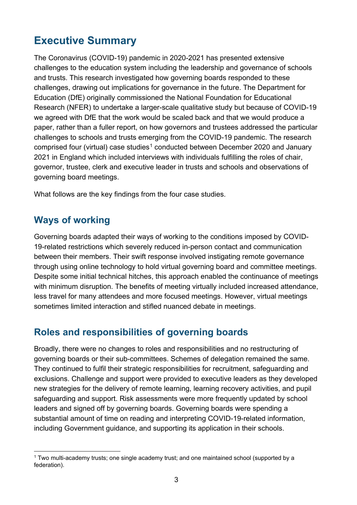## <span id="page-2-0"></span>**Executive Summary**

The Coronavirus (COVID-19) pandemic in 2020-2021 has presented extensive challenges to the education system including the leadership and governance of schools and trusts. This research investigated how governing boards responded to these challenges, drawing out implications for governance in the future. The Department for Education (DfE) originally commissioned the National Foundation for Educational Research (NFER) to undertake a larger-scale qualitative study but because of COVID-19 we agreed with DfE that the work would be scaled back and that we would produce a paper, rather than a fuller report, on how governors and trustees addressed the particular challenges to schools and trusts emerging from the COVID-19 pandemic. The research comprised four (virtual) case studies<sup>[1](#page-2-3)</sup> conducted between December 2020 and January 2021 in England which included interviews with individuals fulfilling the roles of chair, governor, trustee, clerk and executive leader in trusts and schools and observations of governing board meetings.

What follows are the key findings from the four case studies.

#### <span id="page-2-1"></span>**Ways of working**

Governing boards adapted their ways of working to the conditions imposed by COVID-19-related restrictions which severely reduced in-person contact and communication between their members. Their swift response involved instigating remote governance through using online technology to hold virtual governing board and committee meetings. Despite some initial technical hitches, this approach enabled the continuance of meetings with minimum disruption. The benefits of meeting virtually included increased attendance, less travel for many attendees and more focused meetings. However, virtual meetings sometimes limited interaction and stifled nuanced debate in meetings.

#### <span id="page-2-2"></span>**Roles and responsibilities of governing boards**

Broadly, there were no changes to roles and responsibilities and no restructuring of governing boards or their sub-committees. Schemes of delegation remained the same. They continued to fulfil their strategic responsibilities for recruitment, safeguarding and exclusions. Challenge and support were provided to executive leaders as they developed new strategies for the delivery of remote learning, learning recovery activities, and pupil safeguarding and support. Risk assessments were more frequently updated by school leaders and signed off by governing boards. Governing boards were spending a substantial amount of time on reading and interpreting COVID-19-related information, including Government guidance, and supporting its application in their schools.

<span id="page-2-3"></span><sup>1</sup> Two multi-academy trusts; one single academy trust; and one maintained school (supported by a federation).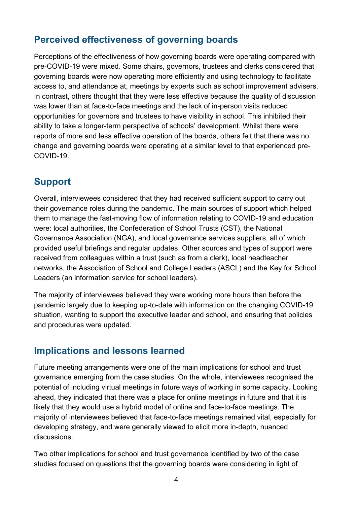### <span id="page-3-0"></span>**Perceived effectiveness of governing boards**

Perceptions of the effectiveness of how governing boards were operating compared with pre-COVID-19 were mixed. Some chairs, governors, trustees and clerks considered that governing boards were now operating more efficiently and using technology to facilitate access to, and attendance at, meetings by experts such as school improvement advisers. In contrast, others thought that they were less effective because the quality of discussion was lower than at face-to-face meetings and the lack of in-person visits reduced opportunities for governors and trustees to have visibility in school. This inhibited their ability to take a longer-term perspective of schools' development. Whilst there were reports of more and less effective operation of the boards, others felt that there was no change and governing boards were operating at a similar level to that experienced pre-COVID-19.

### <span id="page-3-1"></span>**Support**

Overall, interviewees considered that they had received sufficient support to carry out their governance roles during the pandemic. The main sources of support which helped them to manage the fast-moving flow of information relating to COVID-19 and education were: local authorities, the Confederation of School Trusts (CST), the National Governance Association (NGA), and local governance services suppliers, all of which provided useful briefings and regular updates. Other sources and types of support were received from colleagues within a trust (such as from a clerk), local headteacher networks, the Association of School and College Leaders (ASCL) and the Key for School Leaders (an information service for school leaders).

The majority of interviewees believed they were working more hours than before the pandemic largely due to keeping up-to-date with information on the changing COVID-19 situation, wanting to support the executive leader and school, and ensuring that policies and procedures were updated.

#### <span id="page-3-2"></span>**Implications and lessons learned**

Future meeting arrangements were one of the main implications for school and trust governance emerging from the case studies. On the whole, interviewees recognised the potential of including virtual meetings in future ways of working in some capacity. Looking ahead, they indicated that there was a place for online meetings in future and that it is likely that they would use a hybrid model of online and face-to-face meetings. The majority of interviewees believed that face-to-face meetings remained vital, especially for developing strategy, and were generally viewed to elicit more in-depth, nuanced discussions.

Two other implications for school and trust governance identified by two of the case studies focused on questions that the governing boards were considering in light of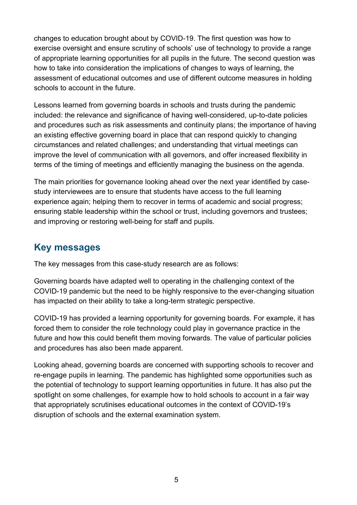changes to education brought about by COVID-19. The first question was how to exercise oversight and ensure scrutiny of schools' use of technology to provide a range of appropriate learning opportunities for all pupils in the future. The second question was how to take into consideration the implications of changes to ways of learning, the assessment of educational outcomes and use of different outcome measures in holding schools to account in the future.

Lessons learned from governing boards in schools and trusts during the pandemic included: the relevance and significance of having well-considered, up-to-date policies and procedures such as risk assessments and continuity plans; the importance of having an existing effective governing board in place that can respond quickly to changing circumstances and related challenges; and understanding that virtual meetings can improve the level of communication with all governors, and offer increased flexibility in terms of the timing of meetings and efficiently managing the business on the agenda.

The main priorities for governance looking ahead over the next year identified by casestudy interviewees are to ensure that students have access to the full learning experience again; helping them to recover in terms of academic and social progress; ensuring stable leadership within the school or trust, including governors and trustees; and improving or restoring well-being for staff and pupils.

#### <span id="page-4-0"></span>**Key messages**

The key messages from this case-study research are as follows:

Governing boards have adapted well to operating in the challenging context of the COVID-19 pandemic but the need to be highly responsive to the ever-changing situation has impacted on their ability to take a long-term strategic perspective.

COVID-19 has provided a learning opportunity for governing boards. For example, it has forced them to consider the role technology could play in governance practice in the future and how this could benefit them moving forwards. The value of particular policies and procedures has also been made apparent.

Looking ahead, governing boards are concerned with supporting schools to recover and re-engage pupils in learning. The pandemic has highlighted some opportunities such as the potential of technology to support learning opportunities in future. It has also put the spotlight on some challenges, for example how to hold schools to account in a fair way that appropriately scrutinises educational outcomes in the context of COVID-19's disruption of schools and the external examination system.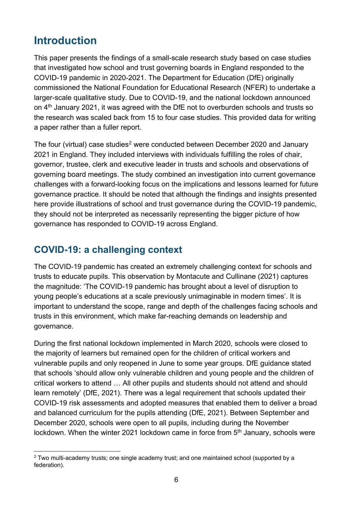## <span id="page-5-0"></span>**Introduction**

This paper presents the findings of a small-scale research study based on case studies that investigated how school and trust governing boards in England responded to the COVID-19 pandemic in 2020-2021. The Department for Education (DfE) originally commissioned the National Foundation for Educational Research (NFER) to undertake a larger-scale qualitative study. Due to COVID-19, and the national lockdown announced on 4th January 2021, it was agreed with the DfE not to overburden schools and trusts so the research was scaled back from 15 to four case studies. This provided data for writing a paper rather than a fuller report.

The four (virtual) case studies<sup>[2](#page-5-2)</sup> were conducted between December 2020 and January 2021 in England. They included interviews with individuals fulfilling the roles of chair, governor, trustee, clerk and executive leader in trusts and schools and observations of governing board meetings. The study combined an investigation into current governance challenges with a forward-looking focus on the implications and lessons learned for future governance practice. It should be noted that although the findings and insights presented here provide illustrations of school and trust governance during the COVID-19 pandemic, they should not be interpreted as necessarily representing the bigger picture of how governance has responded to COVID-19 across England.

#### <span id="page-5-1"></span>**COVID-19: a challenging context**

The COVID-19 pandemic has created an extremely challenging context for schools and trusts to educate pupils. This observation by Montacute and Cullinane (2021) captures the magnitude: 'The COVID-19 pandemic has brought about a level of disruption to young people's educations at a scale previously unimaginable in modern times'. It is important to understand the scope, range and depth of the challenges facing schools and trusts in this environment, which make far-reaching demands on leadership and governance.

During the first national lockdown implemented in March 2020, schools were closed to the majority of learners but remained open for the children of critical workers and vulnerable pupils and only reopened in June to some year groups. DfE guidance stated that schools 'should allow only vulnerable children and young people and the children of critical workers to attend … All other pupils and students should not attend and should learn remotely' (DfE, 2021). There was a legal requirement that schools updated their COVID-19 risk assessments and adopted measures that enabled them to deliver a broad and balanced curriculum for the pupils attending (DfE, 2021). Between September and December 2020, schools were open to all pupils, including during the November lockdown. When the winter 2021 lockdown came in force from 5<sup>th</sup> January, schools were

<span id="page-5-2"></span> $2$  Two multi-academy trusts; one single academy trust; and one maintained school (supported by a federation).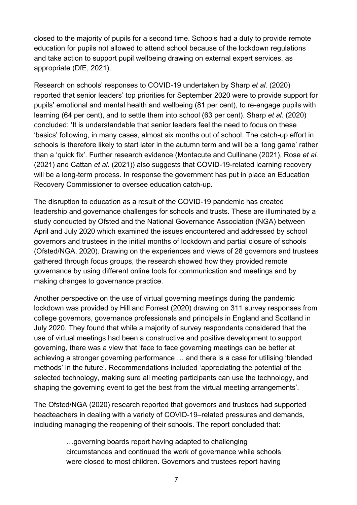closed to the majority of pupils for a second time. Schools had a duty to provide remote education for pupils not allowed to attend school because of the lockdown regulations and take action to support pupil wellbeing drawing on external expert services, as appropriate (DfE, 2021).

Research on schools' responses to COVID-19 undertaken by Sharp *et al.* (2020) reported that senior leaders' top priorities for September 2020 were to provide support for pupils' emotional and mental health and wellbeing (81 per cent), to re-engage pupils with learning (64 per cent), and to settle them into school (63 per cent). Sharp *et al.* (2020) concluded: 'It is understandable that senior leaders feel the need to focus on these 'basics' following, in many cases, almost six months out of school. The catch-up effort in schools is therefore likely to start later in the autumn term and will be a 'long game' rather than a 'quick fix'. Further research evidence (Montacute and Cullinane (2021), Rose *et al.* (2021) and Cattan *et al.* (2021)) also suggests that COVID-19-related learning recovery will be a long-term process. In response the government has put in place an Education Recovery Commissioner to oversee education catch-up.

The disruption to education as a result of the COVID-19 pandemic has created leadership and governance challenges for schools and trusts. These are illuminated by a study conducted by Ofsted and the National Governance Association (NGA) between April and July 2020 which examined the issues encountered and addressed by school governors and trustees in the initial months of lockdown and partial closure of schools (Ofsted/NGA, 2020). Drawing on the experiences and views of 28 governors and trustees gathered through focus groups, the research showed how they provided remote governance by using different online tools for communication and meetings and by making changes to governance practice.

Another perspective on the use of virtual governing meetings during the pandemic lockdown was provided by Hill and Forrest (2020) drawing on 311 survey responses from college governors, governance professionals and principals in England and Scotland in July 2020. They found that while a majority of survey respondents considered that the use of virtual meetings had been a constructive and positive development to support governing, there was a view that 'face to face governing meetings can be better at achieving a stronger governing performance … and there is a case for utilising 'blended methods' in the future'. Recommendations included 'appreciating the potential of the selected technology, making sure all meeting participants can use the technology, and shaping the governing event to get the best from the virtual meeting arrangements'.

The Ofsted/NGA (2020) research reported that governors and trustees had supported headteachers in dealing with a variety of COVID-19–related pressures and demands, including managing the reopening of their schools. The report concluded that:

> …governing boards report having adapted to challenging circumstances and continued the work of governance while schools were closed to most children. Governors and trustees report having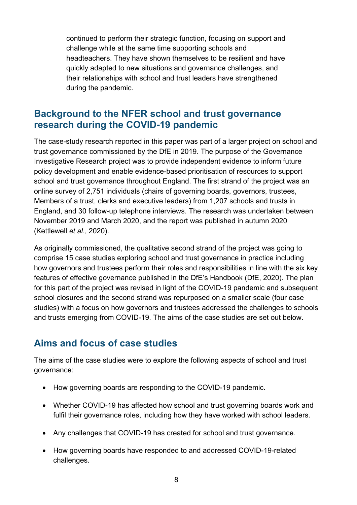continued to perform their strategic function, focusing on support and challenge while at the same time supporting schools and headteachers. They have shown themselves to be resilient and have quickly adapted to new situations and governance challenges, and their relationships with school and trust leaders have strengthened during the pandemic.

#### <span id="page-7-0"></span>**Background to the NFER school and trust governance research during the COVID-19 pandemic**

The case-study research reported in this paper was part of a larger project on school and trust governance commissioned by the DfE in 2019. The purpose of the Governance Investigative Research project was to provide independent evidence to inform future policy development and enable evidence-based prioritisation of resources to support school and trust governance throughout England. The first strand of the project was an online survey of 2,751 individuals (chairs of governing boards, governors, trustees, Members of a trust, clerks and executive leaders) from 1,207 schools and trusts in England, and 30 follow-up telephone interviews. The research was undertaken between November 2019 and March 2020, and the report was published in autumn 2020 (Kettlewell *et al*., 2020).

As originally commissioned, the qualitative second strand of the project was going to comprise 15 case studies exploring school and trust governance in practice including how governors and trustees perform their roles and responsibilities in line with the six key features of effective governance published in the DfE's Handbook (DfE, 2020). The plan for this part of the project was revised in light of the COVID-19 pandemic and subsequent school closures and the second strand was repurposed on a smaller scale (four case studies) with a focus on how governors and trustees addressed the challenges to schools and trusts emerging from COVID-19. The aims of the case studies are set out below.

#### <span id="page-7-1"></span>**Aims and focus of case studies**

The aims of the case studies were to explore the following aspects of school and trust governance:

- How governing boards are responding to the COVID-19 pandemic.
- Whether COVID-19 has affected how school and trust governing boards work and fulfil their governance roles, including how they have worked with school leaders.
- Any challenges that COVID-19 has created for school and trust governance.
- How governing boards have responded to and addressed COVID-19-related challenges.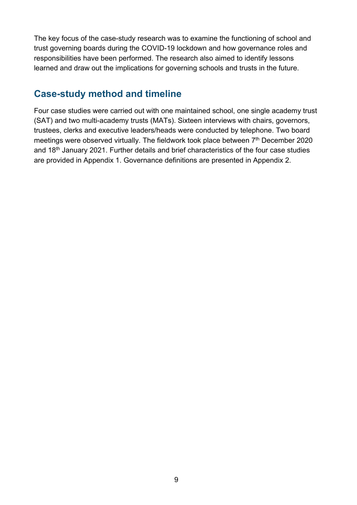The key focus of the case-study research was to examine the functioning of school and trust governing boards during the COVID-19 lockdown and how governance roles and responsibilities have been performed. The research also aimed to identify lessons learned and draw out the implications for governing schools and trusts in the future.

#### <span id="page-8-0"></span>**Case-study method and timeline**

Four case studies were carried out with one maintained school, one single academy trust (SAT) and two multi-academy trusts (MATs). Sixteen interviews with chairs, governors, trustees, clerks and executive leaders/heads were conducted by telephone. Two board meetings were observed virtually. The fieldwork took place between  $7<sup>th</sup>$  December 2020 and 18<sup>th</sup> January 2021. Further details and brief characteristics of the four case studies are provided in Appendix 1. Governance definitions are presented in Appendix 2.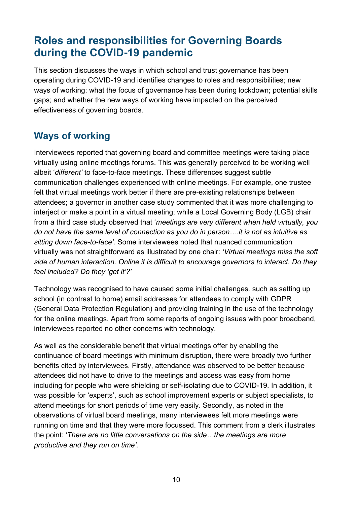## <span id="page-9-0"></span>**Roles and responsibilities for Governing Boards during the COVID-19 pandemic**

This section discusses the ways in which school and trust governance has been operating during COVID-19 and identifies changes to roles and responsibilities; new ways of working; what the focus of governance has been during lockdown; potential skills gaps; and whether the new ways of working have impacted on the perceived effectiveness of governing boards.

### <span id="page-9-1"></span>**Ways of working**

Interviewees reported that governing board and committee meetings were taking place virtually using online meetings forums. This was generally perceived to be working well albeit '*different'* to face-to-face meetings. These differences suggest subtle communication challenges experienced with online meetings. For example, one trustee felt that virtual meetings work better if there are pre-existing relationships between attendees; a governor in another case study commented that it was more challenging to interject or make a point in a virtual meeting; while a Local Governing Body (LGB) chair from a third case study observed that '*meetings are very different when held virtually, you do not have the same level of connection as you do in person….it is not as intuitive as sitting down face-to-face'.* Some interviewees noted that nuanced communication virtually was not straightforward as illustrated by one chair: *'Virtual meetings miss the soft side of human interaction. Online it is difficult to encourage governors to interact. Do they feel included? Do they 'get it'?'*

Technology was recognised to have caused some initial challenges*,* such as setting up school (in contrast to home) email addresses for attendees to comply with GDPR (General Data Protection Regulation) and providing training in the use of the technology for the online meetings. Apart from some reports of ongoing issues with poor broadband, interviewees reported no other concerns with technology.

As well as the considerable benefit that virtual meetings offer by enabling the continuance of board meetings with minimum disruption, there were broadly two further benefits cited by interviewees. Firstly, attendance was observed to be better because attendees did not have to drive to the meetings and access was easy from home including for people who were shielding or self-isolating due to COVID-19. In addition, it was possible for 'experts', such as school improvement experts or subject specialists, to attend meetings for short periods of time very easily. Secondly, as noted in the observations of virtual board meetings, many interviewees felt more meetings were running on time and that they were more focussed. This comment from a clerk illustrates the point: '*There are no little conversations on the side…the meetings are more productive and they run on time'.*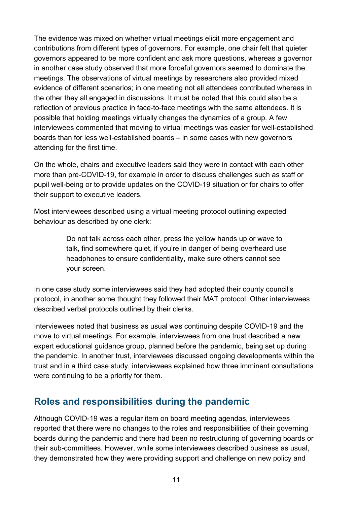The evidence was mixed on whether virtual meetings elicit more engagement and contributions from different types of governors. For example, one chair felt that quieter governors appeared to be more confident and ask more questions, whereas a governor in another case study observed that more forceful governors seemed to dominate the meetings. The observations of virtual meetings by researchers also provided mixed evidence of different scenarios; in one meeting not all attendees contributed whereas in the other they all engaged in discussions. It must be noted that this could also be a reflection of previous practice in face-to-face meetings with the same attendees. It is possible that holding meetings virtually changes the dynamics of a group. A few interviewees commented that moving to virtual meetings was easier for well-established boards than for less well-established boards – in some cases with new governors attending for the first time.

On the whole, chairs and executive leaders said they were in contact with each other more than pre-COVID-19, for example in order to discuss challenges such as staff or pupil well-being or to provide updates on the COVID-19 situation or for chairs to offer their support to executive leaders.

Most interviewees described using a virtual meeting protocol outlining expected behaviour as described by one clerk:

> Do not talk across each other, press the yellow hands up or wave to talk, find somewhere quiet, if you're in danger of being overheard use headphones to ensure confidentiality, make sure others cannot see your screen.

In one case study some interviewees said they had adopted their county council's protocol, in another some thought they followed their MAT protocol. Other interviewees described verbal protocols outlined by their clerks.

Interviewees noted that business as usual was continuing despite COVID-19 and the move to virtual meetings. For example, interviewees from one trust described a new expert educational guidance group, planned before the pandemic, being set up during the pandemic. In another trust, interviewees discussed ongoing developments within the trust and in a third case study, interviewees explained how three imminent consultations were continuing to be a priority for them.

#### <span id="page-10-0"></span>**Roles and responsibilities during the pandemic**

Although COVID-19 was a regular item on board meeting agendas, interviewees reported that there were no changes to the roles and responsibilities of their governing boards during the pandemic and there had been no restructuring of governing boards or their sub-committees. However, while some interviewees described business as usual, they demonstrated how they were providing support and challenge on new policy and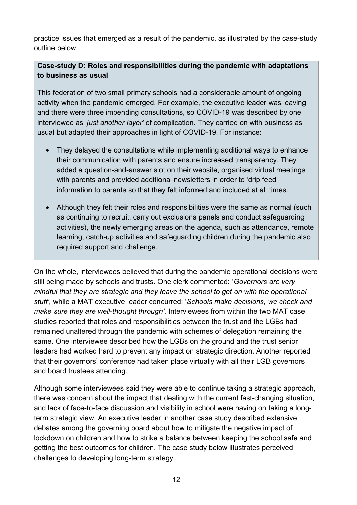practice issues that emerged as a result of the pandemic, as illustrated by the case-study outline below.

#### **Case-study D: Roles and responsibilities during the pandemic with adaptations to business as usual**

This federation of two small primary schools had a considerable amount of ongoing activity when the pandemic emerged. For example, the executive leader was leaving and there were three impending consultations, so COVID-19 was described by one interviewee as '*just another layer'* of complication. They carried on with business as usual but adapted their approaches in light of COVID-19. For instance:

- They delayed the consultations while implementing additional ways to enhance their communication with parents and ensure increased transparency. They added a question-and-answer slot on their website, organised virtual meetings with parents and provided additional newsletters in order to 'drip feed' information to parents so that they felt informed and included at all times.
- Although they felt their roles and responsibilities were the same as normal (such as continuing to recruit, carry out exclusions panels and conduct safeguarding activities), the newly emerging areas on the agenda, such as attendance, remote learning, catch-up activities and safeguarding children during the pandemic also required support and challenge.

On the whole, interviewees believed that during the pandemic operational decisions were still being made by schools and trusts. One clerk commented: '*Governors are very mindful that they are strategic and they leave the school to get on with the operational stuff',* while a MAT executive leader concurred: '*Schools make decisions, we check and make sure they are well-thought through'.* Interviewees from within the two MAT case studies reported that roles and responsibilities between the trust and the LGBs had remained unaltered through the pandemic with schemes of delegation remaining the same. One interviewee described how the LGBs on the ground and the trust senior leaders had worked hard to prevent any impact on strategic direction. Another reported that their governors' conference had taken place virtually with all their LGB governors and board trustees attending.

Although some interviewees said they were able to continue taking a strategic approach, there was concern about the impact that dealing with the current fast-changing situation, and lack of face-to-face discussion and visibility in school were having on taking a longterm strategic view. An executive leader in another case study described extensive debates among the governing board about how to mitigate the negative impact of lockdown on children and how to strike a balance between keeping the school safe and getting the best outcomes for children. The case study below illustrates perceived challenges to developing long-term strategy.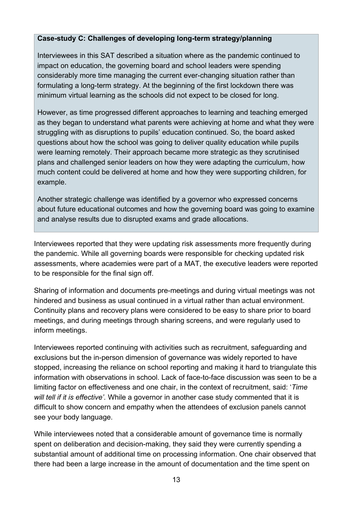#### **Case-study C: Challenges of developing long-term strategy/planning**

Interviewees in this SAT described a situation where as the pandemic continued to impact on education, the governing board and school leaders were spending considerably more time managing the current ever-changing situation rather than formulating a long-term strategy. At the beginning of the first lockdown there was minimum virtual learning as the schools did not expect to be closed for long.

However, as time progressed different approaches to learning and teaching emerged as they began to understand what parents were achieving at home and what they were struggling with as disruptions to pupils' education continued. So, the board asked questions about how the school was going to deliver quality education while pupils were learning remotely. Their approach became more strategic as they scrutinised plans and challenged senior leaders on how they were adapting the curriculum, how much content could be delivered at home and how they were supporting children, for example.

Another strategic challenge was identified by a governor who expressed concerns about future educational outcomes and how the governing board was going to examine and analyse results due to disrupted exams and grade allocations.

Interviewees reported that they were updating risk assessments more frequently during the pandemic. While all governing boards were responsible for checking updated risk assessments, where academies were part of a MAT, the executive leaders were reported to be responsible for the final sign off.

Sharing of information and documents pre-meetings and during virtual meetings was not hindered and business as usual continued in a virtual rather than actual environment. Continuity plans and recovery plans were considered to be easy to share prior to board meetings, and during meetings through sharing screens, and were regularly used to inform meetings.

Interviewees reported continuing with activities such as recruitment, safeguarding and exclusions but the in-person dimension of governance was widely reported to have stopped, increasing the reliance on school reporting and making it hard to triangulate this information with observations in school. Lack of face-to-face discussion was seen to be a limiting factor on effectiveness and one chair, in the context of recruitment, said: '*Time will tell if it is effective'.* While a governor in another case study commented that it is difficult to show concern and empathy when the attendees of exclusion panels cannot see your body language.

While interviewees noted that a considerable amount of governance time is normally spent on deliberation and decision-making, they said they were currently spending a substantial amount of additional time on processing information. One chair observed that there had been a large increase in the amount of documentation and the time spent on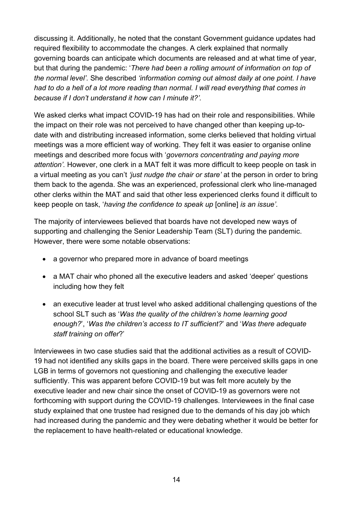discussing it. Additionally, he noted that the constant Government guidance updates had required flexibility to accommodate the changes. A clerk explained that normally governing boards can anticipate which documents are released and at what time of year, but that during the pandemic: '*There had been a rolling amount of information on top of the normal level'.* She described *'information coming out almost daily at one point. I have had to do a hell of a lot more reading than normal. I will read everything that comes in because if I don't understand it how can I minute it?'.*

We asked clerks what impact COVID-19 has had on their role and responsibilities. While the impact on their role was not perceived to have changed other than keeping up-todate with and distributing increased information, some clerks believed that holding virtual meetings was a more efficient way of working. They felt it was easier to organise online meetings and described more focus with '*governors concentrating and paying more attention'.* However, one clerk in a MAT felt it was more difficult to keep people on task in a virtual meeting as you can't *'just nudge the chair or stare'* at the person in order to bring them back to the agenda. She was an experienced, professional clerk who line-managed other clerks within the MAT and said that other less experienced clerks found it difficult to keep people on task, '*having the confidence to speak up* [online] *is an issue'.*

The majority of interviewees believed that boards have not developed new ways of supporting and challenging the Senior Leadership Team (SLT) during the pandemic. However, there were some notable observations:

- a governor who prepared more in advance of board meetings
- a MAT chair who phoned all the executive leaders and asked 'deeper' questions including how they felt
- an executive leader at trust level who asked additional challenging questions of the school SLT such as '*Was the quality of the children's home learning good enough?*', '*Was the children's access to IT sufficient?*' and '*Was there adequate staff training on offer*?'

Interviewees in two case studies said that the additional activities as a result of COVID-19 had not identified any skills gaps in the board. There were perceived skills gaps in one LGB in terms of governors not questioning and challenging the executive leader sufficiently. This was apparent before COVID-19 but was felt more acutely by the executive leader and new chair since the onset of COVID-19 as governors were not forthcoming with support during the COVID-19 challenges. Interviewees in the final case study explained that one trustee had resigned due to the demands of his day job which had increased during the pandemic and they were debating whether it would be better for the replacement to have health-related or educational knowledge.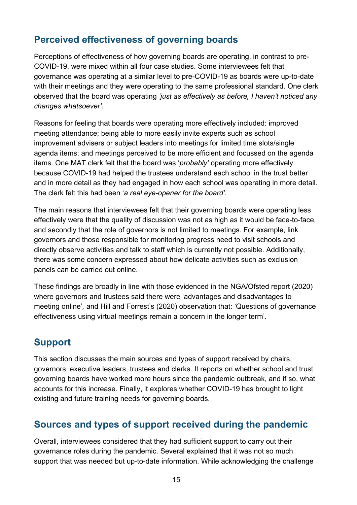#### <span id="page-14-0"></span>**Perceived effectiveness of governing boards**

Perceptions of effectiveness of how governing boards are operating, in contrast to pre-COVID-19, were mixed within all four case studies. Some interviewees felt that governance was operating at a similar level to pre-COVID-19 as boards were up-to-date with their meetings and they were operating to the same professional standard. One clerk observed that the board was operating *'just as effectively as before, I haven't noticed any changes whatsoever'.*

Reasons for feeling that boards were operating more effectively included: improved meeting attendance; being able to more easily invite experts such as school improvement advisers or subject leaders into meetings for limited time slots/single agenda items; and meetings perceived to be more efficient and focussed on the agenda items. One MAT clerk felt that the board was '*probably'* operating more effectively because COVID-19 had helped the trustees understand each school in the trust better and in more detail as they had engaged in how each school was operating in more detail. The clerk felt this had been '*a real eye-opener for the board'.*

The main reasons that interviewees felt that their governing boards were operating less effectively were that the quality of discussion was not as high as it would be face-to-face, and secondly that the role of governors is not limited to meetings. For example, link governors and those responsible for monitoring progress need to visit schools and directly observe activities and talk to staff which is currently not possible. Additionally, there was some concern expressed about how delicate activities such as exclusion panels can be carried out online.

These findings are broadly in line with those evidenced in the NGA/Ofsted report (2020) where governors and trustees said there were 'advantages and disadvantages to meeting online'*,* and Hill and Forrest's (2020) observation that: *'*Questions of governance effectiveness using virtual meetings remain a concern in the longer term'.

#### <span id="page-14-1"></span>**Support**

This section discusses the main sources and types of support received by chairs, governors, executive leaders, trustees and clerks. It reports on whether school and trust governing boards have worked more hours since the pandemic outbreak, and if so, what accounts for this increase. Finally, it explores whether COVID-19 has brought to light existing and future training needs for governing boards.

#### <span id="page-14-2"></span>**Sources and types of support received during the pandemic**

Overall, interviewees considered that they had sufficient support to carry out their governance roles during the pandemic. Several explained that it was not so much support that was needed but up-to-date information. While acknowledging the challenge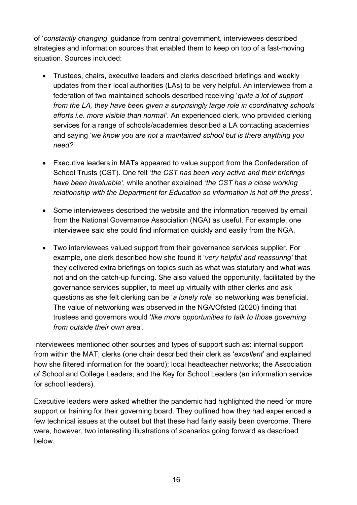of '*constantly changing*' guidance from central government, interviewees described strategies and information sources that enabled them to keep on top of a fast-moving situation. Sources included:

- Trustees, chairs, executive leaders and clerks described briefings and weekly updates from their local authorities (LAs) to be very helpful. An interviewee from a federation of two maintained schools described receiving '*quite a lot of support from the LA, they have been given a surprisingly large role in coordinating schools' efforts i.e. more visible than normal'*. An experienced clerk, who provided clerking services for a range of schools/academies described a LA contacting academies and saying '*we know you are not a maintained school but is there anything you need?*'
- Executive leaders in MATs appeared to value support from the Confederation of School Trusts (CST). One felt '*the CST has been very active and their briefings have been invaluable'*, while another explained '*the CST has a close working relationship with the Department for Education so information is hot off the press'*.
- Some interviewees described the website and the information received by email from the National Governance Association (NGA) as useful. For example, one interviewee said she could find information quickly and easily from the NGA.
- Two interviewees valued support from their governance services supplier. For example, one clerk described how she found it '*very helpful and reassuring'* that they delivered extra briefings on topics such as what was statutory and what was not and on the catch-up funding. She also valued the opportunity, facilitated by the governance services supplier, to meet up virtually with other clerks and ask questions as she felt clerking can be '*a lonely role'* so networking was beneficial. The value of networking was observed in the NGA/Ofsted (2020) finding that trustees and governors would '*like more opportunities to talk to those governing from outside their own area'.*

Interviewees mentioned other sources and types of support such as: internal support from within the MAT; clerks (one chair described their clerk as '*excellent*' and explained how she filtered information for the board); local headteacher networks; the Association of School and College Leaders; and the Key for School Leaders (an information service for school leaders).

Executive leaders were asked whether the pandemic had highlighted the need for more support or training for their governing board. They outlined how they had experienced a few technical issues at the outset but that these had fairly easily been overcome. There were, however, two interesting illustrations of scenarios going forward as described below.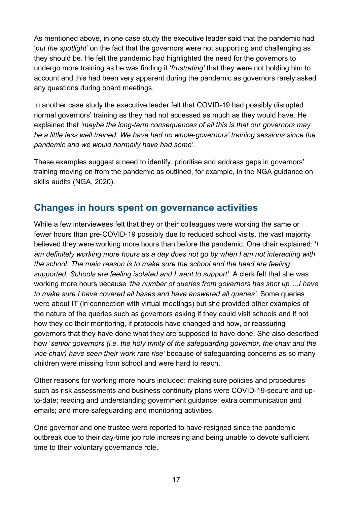As mentioned above, in one case study the executive leader said that the pandemic had '*put the spotlight'* on the fact that the governors were not supporting and challenging as they should be. He felt the pandemic had highlighted the need for the governors to undergo more training as he was finding it '*frustrating'* that they were not holding him to account and this had been very apparent during the pandemic as governors rarely asked any questions during board meetings.

In another case study the executive leader felt that COVID-19 had possibly disrupted normal governors' training as they had not accessed as much as they would have. He explained that *'maybe the long-term consequences of all this is that our governors may be a little less well trained. We have had no whole-governors' training sessions since the pandemic and we would normally have had some'.* 

These examples suggest a need to identify, prioritise and address gaps in governors' training moving on from the pandemic as outlined, for example, in the NGA guidance on skills audits (NGA, 2020).

#### <span id="page-16-0"></span>**Changes in hours spent on governance activities**

While a few interviewees felt that they or their colleagues were working the same or fewer hours than pre-COVID-19 possibly due to reduced school visits, the vast majority believed they were working more hours than before the pandemic. One chair explained: '*I am definitely working more hours as a day does not go by when I am not interacting with the school. The main reason is to make sure the school and the head are feeling supported. Schools are feeling isolated and I want to support'*. A clerk felt that she was working more hours because '*the number of queries from governors has shot up….I have to make sure I have covered all bases and have answered all queries'*. Some queries were about IT (in connection with virtual meetings) but she provided other examples of the nature of the queries such as governors asking if they could visit schools and if not how they do their monitoring, if protocols have changed and how, or reassuring governors that they have done what they are supposed to have done. She also described how '*senior governors (i.e. the holy trinity of the safeguarding governor, the chair and the vice chair) have seen their work rate rise'* because of safeguarding concerns as so many children were missing from school and were hard to reach.

Other reasons for working more hours included: making sure policies and procedures such as risk assessments and business continuity plans were COVID-19-secure and upto-date; reading and understanding government guidance; extra communication and emails; and more safeguarding and monitoring activities.

One governor and one trustee were reported to have resigned since the pandemic outbreak due to their day-time job role increasing and being unable to devote sufficient time to their voluntary governance role.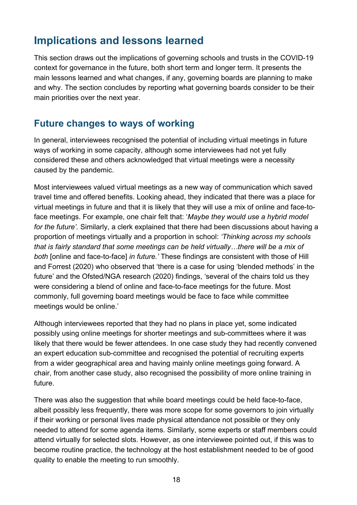## <span id="page-17-0"></span>**Implications and lessons learned**

This section draws out the implications of governing schools and trusts in the COVID-19 context for governance in the future, both short term and longer term. It presents the main lessons learned and what changes, if any, governing boards are planning to make and why. The section concludes by reporting what governing boards consider to be their main priorities over the next year.

#### <span id="page-17-1"></span>**Future changes to ways of working**

In general, interviewees recognised the potential of including virtual meetings in future ways of working in some capacity, although some interviewees had not yet fully considered these and others acknowledged that virtual meetings were a necessity caused by the pandemic.

Most interviewees valued virtual meetings as a new way of communication which saved travel time and offered benefits. Looking ahead, they indicated that there was a place for virtual meetings in future and that it is likely that they will use a mix of online and face-toface meetings. For example, one chair felt that: '*Maybe they would use a hybrid model for the future'.* Similarly, a clerk explained that there had been discussions about having a proportion of meetings virtually and a proportion in school: *'Thinking across my schools that is fairly standard that some meetings can be held virtually…there will be a mix of both* [online and face-to-face] *in future.'* These findings are consistent with those of Hill and Forrest (2020) who observed that 'there is a case for using 'blended methods' in the future' and the Ofsted/NGA research (2020) findings, 'several of the chairs told us they were considering a blend of online and face-to-face meetings for the future. Most commonly, full governing board meetings would be face to face while committee meetings would be online.'

Although interviewees reported that they had no plans in place yet, some indicated possibly using online meetings for shorter meetings and sub-committees where it was likely that there would be fewer attendees. In one case study they had recently convened an expert education sub-committee and recognised the potential of recruiting experts from a wider geographical area and having mainly online meetings going forward. A chair, from another case study, also recognised the possibility of more online training in future.

There was also the suggestion that while board meetings could be held face-to-face, albeit possibly less frequently, there was more scope for some governors to join virtually if their working or personal lives made physical attendance not possible or they only needed to attend for some agenda items. Similarly, some experts or staff members could attend virtually for selected slots. However, as one interviewee pointed out, if this was to become routine practice, the technology at the host establishment needed to be of good quality to enable the meeting to run smoothly.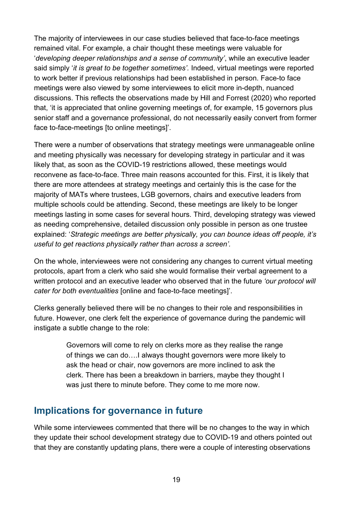The majority of interviewees in our case studies believed that face-to-face meetings remained vital. For example, a chair thought these meetings were valuable for '*developing deeper relationships and a sense of community'*, while an executive leader said simply '*it is great to be together sometimes'.* Indeed, virtual meetings were reported to work better if previous relationships had been established in person. Face-to face meetings were also viewed by some interviewees to elicit more in-depth, nuanced discussions. This reflects the observations made by Hill and Forrest (2020) who reported that, 'it is appreciated that online governing meetings of, for example, 15 governors plus senior staff and a governance professional, do not necessarily easily convert from former face to-face-meetings [to online meetings]'.

There were a number of observations that strategy meetings were unmanageable online and meeting physically was necessary for developing strategy in particular and it was likely that, as soon as the COVID-19 restrictions allowed, these meetings would reconvene as face-to-face. Three main reasons accounted for this. First, it is likely that there are more attendees at strategy meetings and certainly this is the case for the majority of MATs where trustees, LGB governors, chairs and executive leaders from multiple schools could be attending. Second, these meetings are likely to be longer meetings lasting in some cases for several hours. Third, developing strategy was viewed as needing comprehensive, detailed discussion only possible in person as one trustee explained: '*Strategic meetings are better physically, you can bounce ideas off people, it's useful to get reactions physically rather than across a screen'.*

On the whole, interviewees were not considering any changes to current virtual meeting protocols, apart from a clerk who said she would formalise their verbal agreement to a written protocol and an executive leader who observed that in the future *'our protocol will cater for both eventualities* [online and face-to-face meetings]'.

Clerks generally believed there will be no changes to their role and responsibilities in future. However, one clerk felt the experience of governance during the pandemic will instigate a subtle change to the role:

> Governors will come to rely on clerks more as they realise the range of things we can do….I always thought governors were more likely to ask the head or chair, now governors are more inclined to ask the clerk. There has been a breakdown in barriers, maybe they thought I was just there to minute before. They come to me more now.

#### <span id="page-18-0"></span>**Implications for governance in future**

While some interviewees commented that there will be no changes to the way in which they update their school development strategy due to COVID-19 and others pointed out that they are constantly updating plans, there were a couple of interesting observations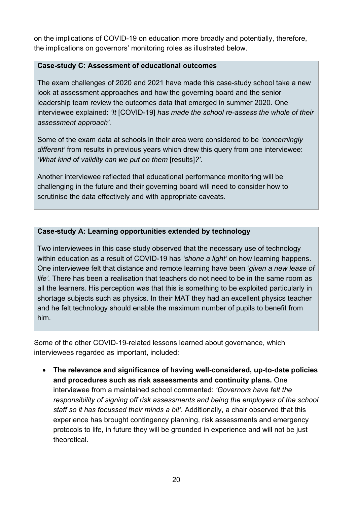on the implications of COVID-19 on education more broadly and potentially, therefore, the implications on governors' monitoring roles as illustrated below.

#### **Case-study C: Assessment of educational outcomes**

The exam challenges of 2020 and 2021 have made this case-study school take a new look at assessment approaches and how the governing board and the senior leadership team review the outcomes data that emerged in summer 2020. One interviewee explained: *'It* [COVID-19] *has made the school re-assess the whole of their assessment approach'.*

Some of the exam data at schools in their area were considered to be *'concerningly different'* from results in previous years which drew this query from one interviewee: *'What kind of validity can we put on them* [results]*?'.*

Another interviewee reflected that educational performance monitoring will be challenging in the future and their governing board will need to consider how to scrutinise the data effectively and with appropriate caveats.

#### **Case-study A: Learning opportunities extended by technology**

Two interviewees in this case study observed that the necessary use of technology within education as a result of COVID-19 has *'shone a light'* on how learning happens. One interviewee felt that distance and remote learning have been '*given a new lease of life'.* There has been a realisation that teachers do not need to be in the same room as all the learners. His perception was that this is something to be exploited particularly in shortage subjects such as physics. In their MAT they had an excellent physics teacher and he felt technology should enable the maximum number of pupils to benefit from him.

Some of the other COVID-19-related lessons learned about governance, which interviewees regarded as important, included:

• **The relevance and significance of having well-considered, up-to-date policies and procedures such as risk assessments and continuity plans.** One interviewee from a maintained school commented: *'Governors have felt the responsibility of signing off risk assessments and being the employers of the school staff so it has focussed their minds a bit'*. Additionally, a chair observed that this experience has brought contingency planning, risk assessments and emergency protocols to life, in future they will be grounded in experience and will not be just theoretical.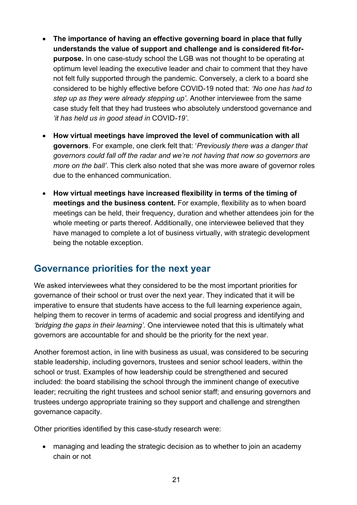- **The importance of having an effective governing board in place that fully understands the value of support and challenge and is considered fit-forpurpose.** In one case-study school the LGB was not thought to be operating at optimum level leading the executive leader and chair to comment that they have not felt fully supported through the pandemic. Conversely, a clerk to a board she considered to be highly effective before COVID-19 noted that: *'No one has had to step up as they were already stepping up'*. Another interviewee from the same case study felt that they had trustees who absolutely understood governance and *'it has held us in good stead in* COVID*-19'*.
- **How virtual meetings have improved the level of communication with all governors**. For example, one clerk felt that: '*Previously there was a danger that governors could fall off the radar and we're not having that now so governors are more on the ball'*. This clerk also noted that she was more aware of governor roles due to the enhanced communication.
- **How virtual meetings have increased flexibility in terms of the timing of meetings and the business content.** For example, flexibility as to when board meetings can be held, their frequency, duration and whether attendees join for the whole meeting or parts thereof. Additionally, one interviewee believed that they have managed to complete a lot of business virtually, with strategic development being the notable exception.

#### <span id="page-20-0"></span>**Governance priorities for the next year**

We asked interviewees what they considered to be the most important priorities for governance of their school or trust over the next year. They indicated that it will be imperative to ensure that students have access to the full learning experience again, helping them to recover in terms of academic and social progress and identifying and *'bridging the gaps in their learning'.* One interviewee noted that this is ultimately what governors are accountable for and should be the priority for the next year.

Another foremost action, in line with business as usual, was considered to be securing stable leadership, including governors, trustees and senior school leaders, within the school or trust. Examples of how leadership could be strengthened and secured included: the board stabilising the school through the imminent change of executive leader; recruiting the right trustees and school senior staff; and ensuring governors and trustees undergo appropriate training so they support and challenge and strengthen governance capacity.

Other priorities identified by this case-study research were:

• managing and leading the strategic decision as to whether to join an academy chain or not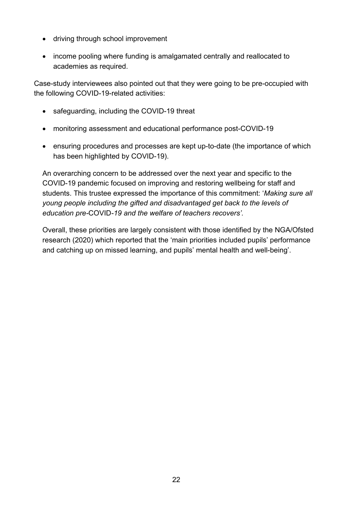- driving through school improvement
- income pooling where funding is amalgamated centrally and reallocated to academies as required.

Case-study interviewees also pointed out that they were going to be pre-occupied with the following COVID-19-related activities:

- safeguarding, including the COVID-19 threat
- monitoring assessment and educational performance post-COVID-19
- ensuring procedures and processes are kept up-to-date (the importance of which has been highlighted by COVID-19).

An overarching concern to be addressed over the next year and specific to the COVID-19 pandemic focused on improving and restoring wellbeing for staff and students. This trustee expressed the importance of this commitment: '*Making sure all young people including the gifted and disadvantaged get back to the levels of education pre-*COVID*-19 and the welfare of teachers recovers'.* 

Overall, these priorities are largely consistent with those identified by the NGA/Ofsted research (2020) which reported that the 'main priorities included pupils' performance and catching up on missed learning, and pupils' mental health and well-being'.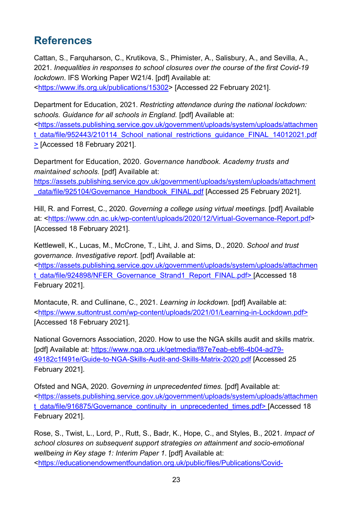## <span id="page-22-0"></span>**References**

Cattan, S., Farquharson, C., Krutikova, S., Phimister, A., Salisbury, A., and Sevilla, A., 2021. *Inequalities in responses to school closures over the course of the first Covid-19 lockdown*. IFS Working Paper W21/4. [pdf] Available at:

[<https://www.ifs.org.uk/publications/15302>](https://www.ifs.org.uk/publications/15302) [Accessed 22 February 2021].

Department for Education, 2021. *Restricting attendance during the national lockdown:* s*chools. Guidance for all schools in England.* [pdf] Available at:

[<https://assets.publishing.service.gov.uk/government/uploads/system/uploads/attachmen](https://assets.publishing.service.gov.uk/government/uploads/system/uploads/attachment_data/file/952443/210114_School_national_restrictions_guidance_FINAL_14012021.pdf) t data/file/952443/210114 School national restrictions quidance FINAL 14012021.pdf > [Accessed 18 February 2021].

Department for Education, 2020. *Governance handbook. Academy trusts and maintained schools.* [pdf] Available at:

[https://assets.publishing.service.gov.uk/government/uploads/system/uploads/attachment](https://assets.publishing.service.gov.uk/government/uploads/system/uploads/attachment_data/file/925104/Governance_Handbook_FINAL.pdf) data/file/925104/Governance\_Handbook\_FINAL.pdf [Accessed 25 February 2021].

Hill, R. and Forrest, C., 2020. *Governing a college using virtual meetings.* [pdf] Available at: [<https://www.cdn.ac.uk/wp-content/uploads/2020/12/Virtual-Governance-Report.pdf>](https://www.cdn.ac.uk/wp-content/uploads/2020/12/Virtual-Governance-Report.pdf) [Accessed 18 February 2021].

Kettlewell, K., Lucas, M., McCrone, T., Liht, J. and Sims, D., 2020. *School and trust governance. Investigative report.* [pdf] Available at: [<https://assets.publishing.service.gov.uk/government/uploads/system/uploads/attachmen](https://assets.publishing.service.gov.uk/government/uploads/system/uploads/attachment_data/file/924898/NFER_Governance_Strand1_Report_FINAL.pdf) [t\\_data/file/924898/NFER\\_Governance\\_Strand1\\_Report\\_FINAL.pdf>](https://assets.publishing.service.gov.uk/government/uploads/system/uploads/attachment_data/file/924898/NFER_Governance_Strand1_Report_FINAL.pdf) [Accessed 18 February 2021].

Montacute, R. and Cullinane, C., 2021. *Learning in lockdown.* [pdf] Available at: [<https://www.suttontrust.com/wp-content/uploads/2021/01/Learning-in-Lockdown.pdf>](https://www.suttontrust.com/wp-content/uploads/2021/01/Learning-in-Lockdown.pdf) [Accessed 18 February 2021].

National Governors Association, 2020. How to use the NGA skills audit and skills matrix. [pdf] Available at: [https://www.nga.org.uk/getmedia/f87e7eab-ebf6-4b04-ad79-](https://www.nga.org.uk/getmedia/f87e7eab-ebf6-4b04-ad79-49182c1f491e/Guide-to-NGA-Skills-Audit-and-Skills-Matrix-2020.pdf) [49182c1f491e/Guide-to-NGA-Skills-Audit-and-Skills-Matrix-2020.pdf](https://www.nga.org.uk/getmedia/f87e7eab-ebf6-4b04-ad79-49182c1f491e/Guide-to-NGA-Skills-Audit-and-Skills-Matrix-2020.pdf) [Accessed 25 February 2021].

Ofsted and NGA, 2020. *Governing in unprecedented times.* [pdf] Available at: [<https://assets.publishing.service.gov.uk/government/uploads/system/uploads/attachmen](https://assets.publishing.service.gov.uk/government/uploads/system/uploads/attachment_data/file/916875/Governance_continuity_in_unprecedented_times.pdf) t data/file/916875/Governance continuity in unprecedented times.pdf> [Accessed 18 February 2021].

Rose, S., Twist, L., Lord, P., Rutt, S., Badr, K., Hope, C., and Styles, B., 2021. *Impact of school closures on subsequent support strategies on attainment and socio-emotional wellbeing in Key stage 1: Interim Paper 1*. [pdf] Available at: [<https://educationendowmentfoundation.org.uk/public/files/Publications/Covid-](https://educationendowmentfoundation.org.uk/public/files/Publications/Covid-19_Resources/Impact_of_school_closures_KS1_interim_findings_paper_-_Jan_2021.pdf)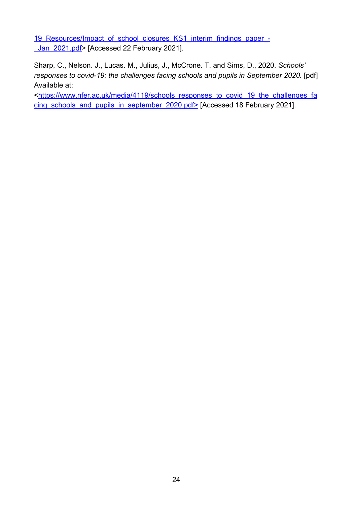19 Resources/Impact of school closures KS1 interim findings paper -Jan\_2021.pdf> [Accessed 22 February 2021].

Sharp, C., Nelson. J., Lucas. M., Julius, J., McCrone. T. and Sims, D., 2020. *Schools' responses to covid-19: the challenges facing schools and pupils in September 2020.* [pdf] Available at:

[<https://www.nfer.ac.uk/media/4119/schools\\_responses\\_to\\_covid\\_19\\_the\\_challenges\\_fa](https://www.nfer.ac.uk/media/4119/schools_responses_to_covid_19_the_challenges_facing_schools_and_pupils_in_september_2020.pdf) [cing\\_schools\\_and\\_pupils\\_in\\_september\\_2020.pdf>](https://www.nfer.ac.uk/media/4119/schools_responses_to_covid_19_the_challenges_facing_schools_and_pupils_in_september_2020.pdf) [Accessed 18 February 2021].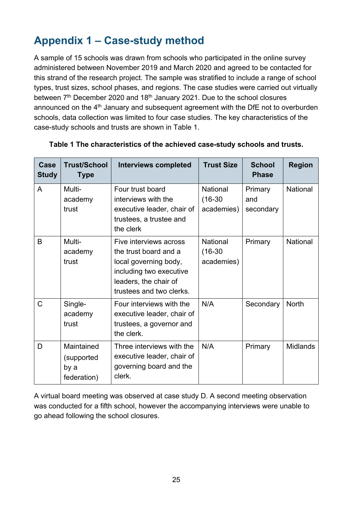## <span id="page-24-0"></span>**Appendix 1 – Case-study method**

A sample of 15 schools was drawn from schools who participated in the online survey administered between November 2019 and March 2020 and agreed to be contacted for this strand of the research project. The sample was stratified to include a range of school types, trust sizes, school phases, and regions. The case studies were carried out virtually between 7<sup>th</sup> December 2020 and 18<sup>th</sup> January 2021. Due to the school closures announced on the  $4<sup>th</sup>$  January and subsequent agreement with the DfE not to overburden schools, data collection was limited to four case studies. The key characteristics of the case-study schools and trusts are shown in Table 1.

| Case<br><b>Study</b> | <b>Trust/School</b><br><b>Type</b>              | <b>Interviews completed</b>                                                                                                                              | <b>Trust Size</b>                   | <b>School</b><br><b>Phase</b> | <b>Region</b>   |
|----------------------|-------------------------------------------------|----------------------------------------------------------------------------------------------------------------------------------------------------------|-------------------------------------|-------------------------------|-----------------|
| $\overline{A}$       | Multi-<br>academy<br>trust                      | Four trust board<br>interviews with the<br>executive leader, chair of<br>trustees, a trustee and<br>the clerk                                            | National<br>$(16-30)$<br>academies) | Primary<br>and<br>secondary   | National        |
| B                    | Multi-<br>academy<br>trust                      | Five interviews across<br>the trust board and a<br>local governing body,<br>including two executive<br>leaders, the chair of<br>trustees and two clerks. | National<br>$(16-30)$<br>academies) | Primary                       | National        |
| $\mathsf{C}$         | Single-<br>academy<br>trust                     | Four interviews with the<br>executive leader, chair of<br>trustees, a governor and<br>the clerk.                                                         | N/A                                 | Secondary                     | <b>North</b>    |
| D                    | Maintained<br>(supported<br>by a<br>federation) | Three interviews with the<br>executive leader, chair of<br>governing board and the<br>clerk.                                                             | N/A                                 | Primary                       | <b>Midlands</b> |

#### **Table 1 The characteristics of the achieved case-study schools and trusts.**

A virtual board meeting was observed at case study D. A second meeting observation was conducted for a fifth school, however the accompanying interviews were unable to go ahead following the school closures.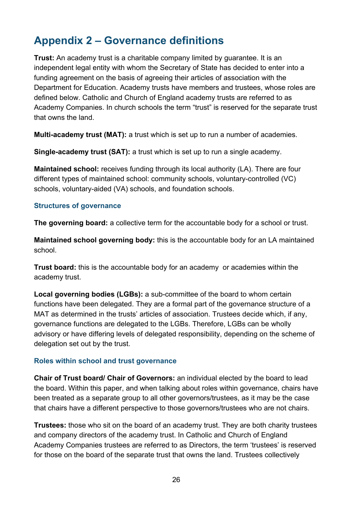## <span id="page-25-0"></span>**Appendix 2 – Governance definitions**

**Trust:** An academy trust is a charitable company limited by guarantee. It is an independent legal entity with whom the Secretary of State has decided to enter into a funding agreement on the basis of agreeing their articles of association with the Department for Education. Academy trusts have members and trustees, whose roles are defined below. Catholic and Church of England academy trusts are referred to as Academy Companies. In church schools the term "trust" is reserved for the separate trust that owns the land.

**Multi-academy trust (MAT):** a trust which is set up to run a number of academies.

**Single-academy trust (SAT):** a trust which is set up to run a single academy.

**Maintained school:** receives funding through its local authority (LA). There are four different types of maintained school: community schools, voluntary-controlled (VC) schools, voluntary-aided (VA) schools, and foundation schools.

#### **Structures of governance**

The governing board: a collective term for the accountable body for a school or trust.

**Maintained school governing body:** this is the accountable body for an LA maintained school.

**Trust board:** this is the accountable body for an academy or academies within the academy trust.

**Local governing bodies (LGBs):** a sub-committee of the board to whom certain functions have been delegated. They are a formal part of the governance structure of a MAT as determined in the trusts' articles of association. Trustees decide which, if any, governance functions are delegated to the LGBs. Therefore, LGBs can be wholly advisory or have differing levels of delegated responsibility, depending on the scheme of delegation set out by the trust.

#### **Roles within school and trust governance**

**Chair of Trust board/ Chair of Governors:** an individual elected by the board to lead the board. Within this paper, and when talking about roles within governance, chairs have been treated as a separate group to all other governors/trustees, as it may be the case that chairs have a different perspective to those governors/trustees who are not chairs.

**Trustees:** those who sit on the board of an academy trust. They are both charity trustees and company directors of the academy trust. In Catholic and Church of England Academy Companies trustees are referred to as Directors, the term 'trustees' is reserved for those on the board of the separate trust that owns the land. Trustees collectively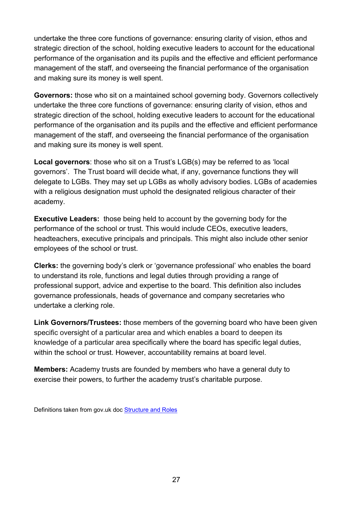undertake the three core functions of governance: ensuring clarity of vision, ethos and strategic direction of the school, holding executive leaders to account for the educational performance of the organisation and its pupils and the effective and efficient performance management of the staff, and overseeing the financial performance of the organisation and making sure its money is well spent.

**Governors:** those who sit on a maintained school governing body. Governors collectively undertake the three core functions of governance: ensuring clarity of vision, ethos and strategic direction of the school, holding executive leaders to account for the educational performance of the organisation and its pupils and the effective and efficient performance management of the staff, and overseeing the financial performance of the organisation and making sure its money is well spent.

**Local governors**: those who sit on a Trust's LGB(s) may be referred to as 'local governors'. The Trust board will decide what, if any, governance functions they will delegate to LGBs. They may set up LGBs as wholly advisory bodies. LGBs of academies with a religious designation must uphold the designated religious character of their academy.

**Executive Leaders:** those being held to account by the governing body for the performance of the school or trust. This would include CEOs, executive leaders, headteachers, executive principals and principals. This might also include other senior employees of the school or trust.

**Clerks:** the governing body's clerk or 'governance professional' who enables the board to understand its role, functions and legal duties through providing a range of professional support, advice and expertise to the board. This definition also includes governance professionals, heads of governance and company secretaries who undertake a clerking role.

**Link Governors/Trustees:** those members of the governing board who have been given specific oversight of a particular area and which enables a board to deepen its knowledge of a particular area specifically where the board has specific legal duties, within the school or trust. However, accountability remains at board level.

**Members:** Academy trusts are founded by members who have a general duty to exercise their powers, to further the academy trust's charitable purpose.

Definitions taken from gov.uk doc [Structure and Roles](https://www.gov.uk/government/publications/governance-structures-and-roles)